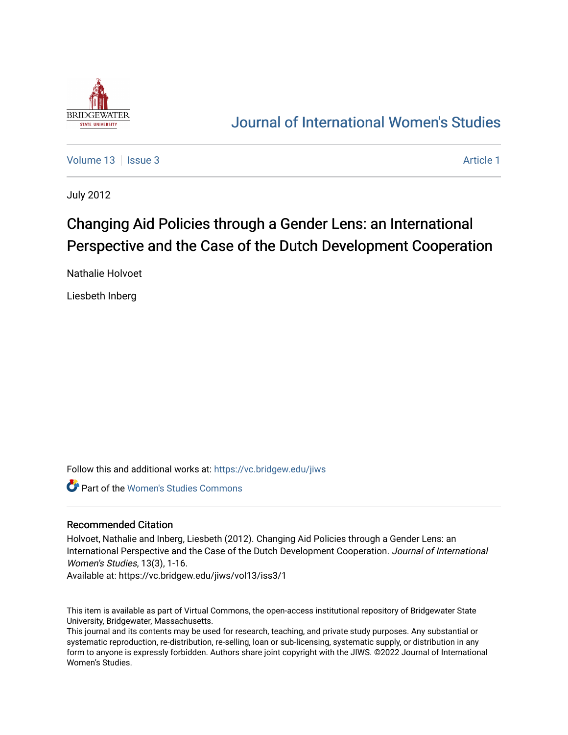

# [Journal of International Women's Studies](https://vc.bridgew.edu/jiws)

[Volume 13](https://vc.bridgew.edu/jiws/vol13) | [Issue 3](https://vc.bridgew.edu/jiws/vol13/iss3) [Article 1](https://vc.bridgew.edu/jiws/vol13/iss3/1) | Issue 3 Article 1 | Issue 3 | Issue 3 | Issue 3 | Issue 3 | Issue 3 | Issue 3 | Issue 3 | Issue 3 | Issue 3 | Issue 3 | Issue 3 | Issue 3 | Issue 3 | Issue 3 | Issue 3 | Issue 3 | Issue 3 |

July 2012

# Changing Aid Policies through a Gender Lens: an International Perspective and the Case of the Dutch Development Cooperation

Nathalie Holvoet

Liesbeth Inberg

Follow this and additional works at: [https://vc.bridgew.edu/jiws](https://vc.bridgew.edu/jiws?utm_source=vc.bridgew.edu%2Fjiws%2Fvol13%2Fiss3%2F1&utm_medium=PDF&utm_campaign=PDFCoverPages)

Part of the [Women's Studies Commons](http://network.bepress.com/hgg/discipline/561?utm_source=vc.bridgew.edu%2Fjiws%2Fvol13%2Fiss3%2F1&utm_medium=PDF&utm_campaign=PDFCoverPages) 

# Recommended Citation

Holvoet, Nathalie and Inberg, Liesbeth (2012). Changing Aid Policies through a Gender Lens: an International Perspective and the Case of the Dutch Development Cooperation. Journal of International Women's Studies, 13(3), 1-16.

Available at: https://vc.bridgew.edu/jiws/vol13/iss3/1

This item is available as part of Virtual Commons, the open-access institutional repository of Bridgewater State University, Bridgewater, Massachusetts.

This journal and its contents may be used for research, teaching, and private study purposes. Any substantial or systematic reproduction, re-distribution, re-selling, loan or sub-licensing, systematic supply, or distribution in any form to anyone is expressly forbidden. Authors share joint copyright with the JIWS. ©2022 Journal of International Women's Studies.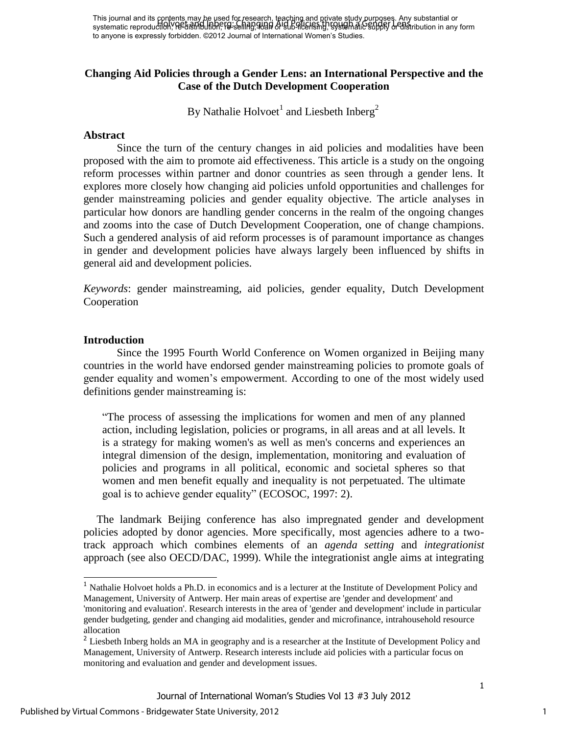This journal and its contents may be used for research, teaching and private study purposes. Any substantial or This journal and its Philosing Marie Research, research, a recently strivent strive and changing or any substantial or<br>systematic reproduction, Re-distribution, Fig. selling, 9080 of Sub-Atle Fish by Systematic supply or d to anyone is expressly forbidden. ©2012 Journal of International Women's Studies.

# **Changing Aid Policies through a Gender Lens: an International Perspective and the Case of the Dutch Development Cooperation**

By Nathalie Holvoet<sup>1</sup> and Liesbeth Inberg<sup>2</sup>

#### **Abstract**

Since the turn of the century changes in aid policies and modalities have been proposed with the aim to promote aid effectiveness. This article is a study on the ongoing reform processes within partner and donor countries as seen through a gender lens. It explores more closely how changing aid policies unfold opportunities and challenges for gender mainstreaming policies and gender equality objective. The article analyses in particular how donors are handling gender concerns in the realm of the ongoing changes and zooms into the case of Dutch Development Cooperation, one of change champions. Such a gendered analysis of aid reform processes is of paramount importance as changes in gender and development policies have always largely been influenced by shifts in general aid and development policies.

*Keywords*: gender mainstreaming, aid policies, gender equality, Dutch Development Cooperation

#### **Introduction**

j

Since the 1995 Fourth World Conference on Women organized in Beijing many countries in the world have endorsed gender mainstreaming policies to promote goals of gender equality and women"s empowerment. According to one of the most widely used definitions gender mainstreaming is:

"The process of assessing the implications for women and men of any planned action, including legislation, policies or programs, in all areas and at all levels. It is a strategy for making women's as well as men's concerns and experiences an integral dimension of the design, implementation, monitoring and evaluation of policies and programs in all political, economic and societal spheres so that women and men benefit equally and inequality is not perpetuated. The ultimate goal is to achieve gender equality" (ECOSOC, 1997: 2).

The landmark Beijing conference has also impregnated gender and development policies adopted by donor agencies. More specifically, most agencies adhere to a twotrack approach which combines elements of an *agenda setting* and *integrationist*  approach (see also OECD/DAC, 1999). While the integrationist angle aims at integrating

<sup>&</sup>lt;sup>1</sup> Nathalie Holvoet holds a Ph.D. in economics and is a lecturer at the Institute of Development Policy and Management, University of Antwerp. Her main areas of expertise are 'gender and development' and 'monitoring and evaluation'. Research interests in the area of 'gender and development' include in particular gender budgeting, gender and changing aid modalities, gender and microfinance, intrahousehold resource allocation

<sup>&</sup>lt;sup>2</sup> Liesbeth Inberg holds an MA in geography and is a researcher at the Institute of Development Policy and Management, University of Antwerp. Research interests include aid policies with a particular focus on monitoring and evaluation and gender and development issues.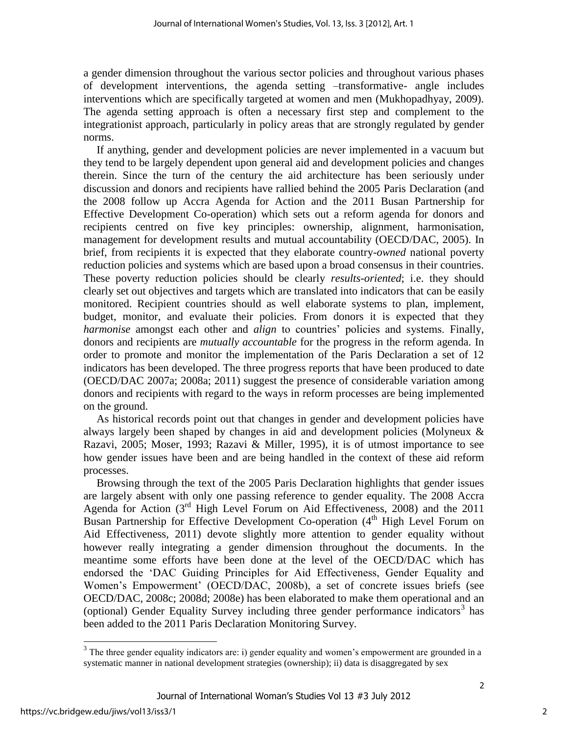a gender dimension throughout the various sector policies and throughout various phases of development interventions, the agenda setting –transformative- angle includes interventions which are specifically targeted at women and men (Mukhopadhyay, 2009). The agenda setting approach is often a necessary first step and complement to the integrationist approach, particularly in policy areas that are strongly regulated by gender norms.

If anything, gender and development policies are never implemented in a vacuum but they tend to be largely dependent upon general aid and development policies and changes therein. Since the turn of the century the aid architecture has been seriously under discussion and donors and recipients have rallied behind the 2005 Paris Declaration (and the 2008 follow up Accra Agenda for Action and the 2011 Busan Partnership for Effective Development Co-operation) which sets out a reform agenda for donors and recipients centred on five key principles: ownership, alignment, harmonisation, management for development results and mutual accountability (OECD/DAC, 2005). In brief, from recipients it is expected that they elaborate country-*owned* national poverty reduction policies and systems which are based upon a broad consensus in their countries. These poverty reduction policies should be clearly *results-oriented*; i.e. they should clearly set out objectives and targets which are translated into indicators that can be easily monitored. Recipient countries should as well elaborate systems to plan, implement, budget, monitor, and evaluate their policies. From donors it is expected that they *harmonise* amongst each other and *align* to countries' policies and systems. Finally, donors and recipients are *mutually accountable* for the progress in the reform agenda. In order to promote and monitor the implementation of the Paris Declaration a set of 12 indicators has been developed. The three progress reports that have been produced to date (OECD/DAC 2007a; 2008a; 2011) suggest the presence of considerable variation among donors and recipients with regard to the ways in reform processes are being implemented on the ground.

As historical records point out that changes in gender and development policies have always largely been shaped by changes in aid and development policies (Molyneux & Razavi, 2005; Moser, 1993; Razavi & Miller, 1995), it is of utmost importance to see how gender issues have been and are being handled in the context of these aid reform processes.

Browsing through the text of the 2005 Paris Declaration highlights that gender issues are largely absent with only one passing reference to gender equality. The 2008 Accra Agenda for Action  $3<sup>rd</sup>$  High Level Forum on Aid Effectiveness, 2008) and the 2011 Busan Partnership for Effective Development Co-operation (4<sup>th</sup> High Level Forum on Aid Effectiveness, 2011) devote slightly more attention to gender equality without however really integrating a gender dimension throughout the documents. In the meantime some efforts have been done at the level of the OECD/DAC which has endorsed the "DAC Guiding Principles for Aid Effectiveness, Gender Equality and Women"s Empowerment" (OECD/DAC, 2008b), a set of concrete issues briefs (see OECD/DAC, 2008c; 2008d; 2008e) has been elaborated to make them operational and an (optional) Gender Equality Survey including three gender performance indicators<sup>3</sup> has been added to the 2011 Paris Declaration Monitoring Survey.

l

 $3$  The three gender equality indicators are: i) gender equality and women's empowerment are grounded in a systematic manner in national development strategies (ownership); ii) data is disaggregated by sex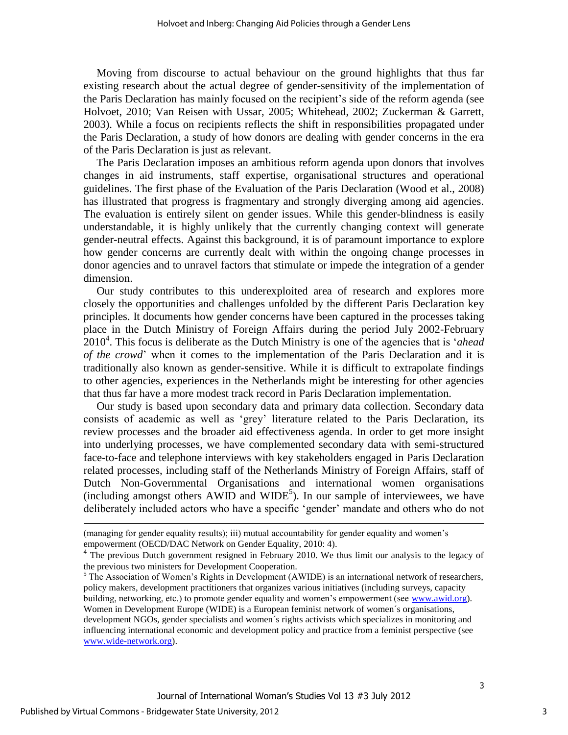Moving from discourse to actual behaviour on the ground highlights that thus far existing research about the actual degree of gender-sensitivity of the implementation of the Paris Declaration has mainly focused on the recipient"s side of the reform agenda (see Holvoet, 2010; Van Reisen with Ussar, 2005; Whitehead, 2002; Zuckerman & Garrett, 2003). While a focus on recipients reflects the shift in responsibilities propagated under the Paris Declaration, a study of how donors are dealing with gender concerns in the era of the Paris Declaration is just as relevant.

The Paris Declaration imposes an ambitious reform agenda upon donors that involves changes in aid instruments, staff expertise, organisational structures and operational guidelines. The first phase of the Evaluation of the Paris Declaration (Wood et al., 2008) has illustrated that progress is fragmentary and strongly diverging among aid agencies. The evaluation is entirely silent on gender issues. While this gender-blindness is easily understandable, it is highly unlikely that the currently changing context will generate gender-neutral effects. Against this background, it is of paramount importance to explore how gender concerns are currently dealt with within the ongoing change processes in donor agencies and to unravel factors that stimulate or impede the integration of a gender dimension.

Our study contributes to this underexploited area of research and explores more closely the opportunities and challenges unfolded by the different Paris Declaration key principles. It documents how gender concerns have been captured in the processes taking place in the Dutch Ministry of Foreign Affairs during the period July 2002-February 2010<sup>4</sup> . This focus is deliberate as the Dutch Ministry is one of the agencies that is "*ahead of the crowd*" when it comes to the implementation of the Paris Declaration and it is traditionally also known as gender-sensitive. While it is difficult to extrapolate findings to other agencies, experiences in the Netherlands might be interesting for other agencies that thus far have a more modest track record in Paris Declaration implementation.

Our study is based upon secondary data and primary data collection. Secondary data consists of academic as well as "grey" literature related to the Paris Declaration, its review processes and the broader aid effectiveness agenda. In order to get more insight into underlying processes, we have complemented secondary data with semi-structured face-to-face and telephone interviews with key stakeholders engaged in Paris Declaration related processes, including staff of the Netherlands Ministry of Foreign Affairs, staff of Dutch Non-Governmental Organisations and international women organisations (including amongst others  $AWID$  and  $WIDE<sup>5</sup>$ ). In our sample of interviewees, we have deliberately included actors who have a specific "gender" mandate and others who do not

j

3

<sup>(</sup>managing for gender equality results); iii) mutual accountability for gender equality and women"s empowerment (OECD/DAC Network on Gender Equality, 2010: 4).

<sup>&</sup>lt;sup>4</sup> The previous Dutch government resigned in February 2010. We thus limit our analysis to the legacy of the previous two ministers for Development Cooperation.

 $<sup>5</sup>$  The Association of Women's Rights in Development (AWIDE) is an international network of researchers,</sup> policy makers, development practitioners that organizes various initiatives (including surveys, capacity building, networking, etc.) to promote gender equality and women"s empowerment (see [www.awid.org\)](http://www.awid.org/). Women in Development Europe (WIDE) is a European feminist network of women´s organisations, development NGOs, gender specialists and women´s rights activists which specializes in monitoring and influencing international economic and development policy and practice from a feminist perspective (see [www.wide-network.org\)](http://www.wide-network.org/).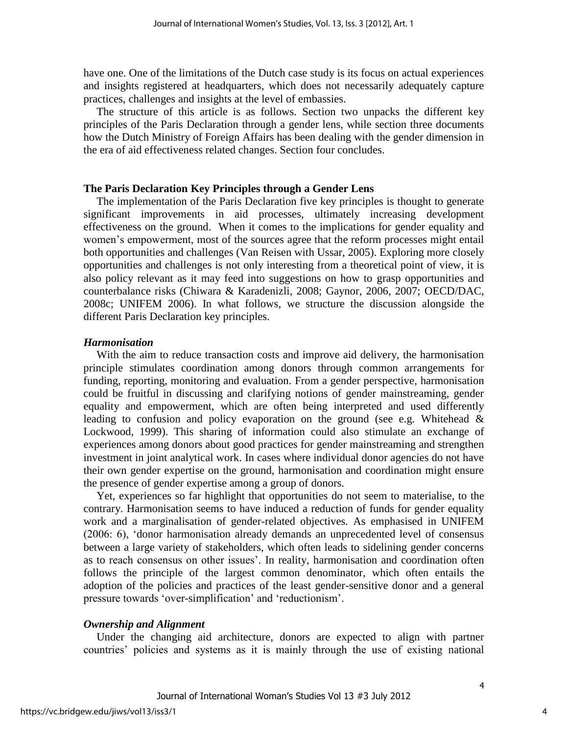have one. One of the limitations of the Dutch case study is its focus on actual experiences and insights registered at headquarters, which does not necessarily adequately capture practices, challenges and insights at the level of embassies.

The structure of this article is as follows. Section two unpacks the different key principles of the Paris Declaration through a gender lens, while section three documents how the Dutch Ministry of Foreign Affairs has been dealing with the gender dimension in the era of aid effectiveness related changes. Section four concludes.

# **The Paris Declaration Key Principles through a Gender Lens**

The implementation of the Paris Declaration five key principles is thought to generate significant improvements in aid processes, ultimately increasing development effectiveness on the ground. When it comes to the implications for gender equality and women"s empowerment, most of the sources agree that the reform processes might entail both opportunities and challenges (Van Reisen with Ussar, 2005). Exploring more closely opportunities and challenges is not only interesting from a theoretical point of view, it is also policy relevant as it may feed into suggestions on how to grasp opportunities and counterbalance risks (Chiwara & Karadenizli, 2008; Gaynor, 2006, 2007; OECD/DAC, 2008c; UNIFEM 2006). In what follows, we structure the discussion alongside the different Paris Declaration key principles.

#### *Harmonisation*

With the aim to reduce transaction costs and improve aid delivery, the harmonisation principle stimulates coordination among donors through common arrangements for funding, reporting, monitoring and evaluation. From a gender perspective, harmonisation could be fruitful in discussing and clarifying notions of gender mainstreaming, gender equality and empowerment, which are often being interpreted and used differently leading to confusion and policy evaporation on the ground (see e.g. Whitehead & Lockwood, 1999). This sharing of information could also stimulate an exchange of experiences among donors about good practices for gender mainstreaming and strengthen investment in joint analytical work. In cases where individual donor agencies do not have their own gender expertise on the ground, harmonisation and coordination might ensure the presence of gender expertise among a group of donors.

Yet, experiences so far highlight that opportunities do not seem to materialise, to the contrary. Harmonisation seems to have induced a reduction of funds for gender equality work and a marginalisation of gender-related objectives. As emphasised in UNIFEM (2006: 6), "donor harmonisation already demands an unprecedented level of consensus between a large variety of stakeholders, which often leads to sidelining gender concerns as to reach consensus on other issues". In reality, harmonisation and coordination often follows the principle of the largest common denominator, which often entails the adoption of the policies and practices of the least gender-sensitive donor and a general pressure towards 'over-simplification' and 'reductionism'.

# *Ownership and Alignment*

Under the changing aid architecture, donors are expected to align with partner countries" policies and systems as it is mainly through the use of existing national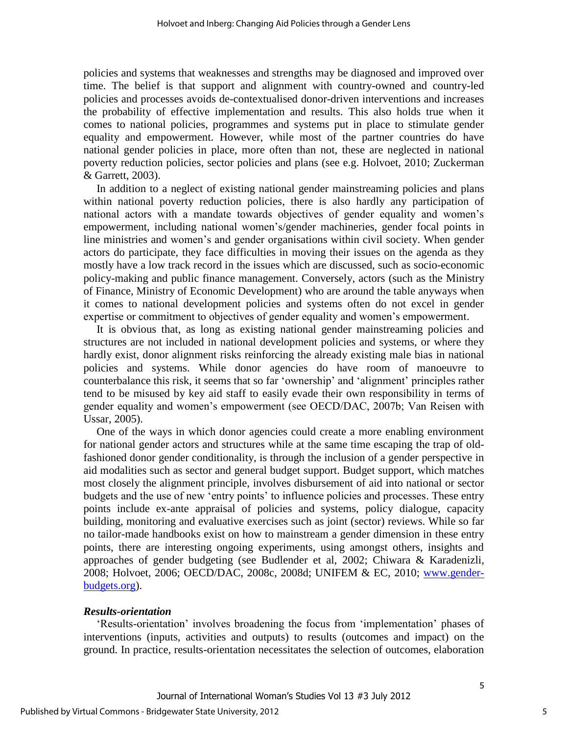policies and systems that weaknesses and strengths may be diagnosed and improved over time. The belief is that support and alignment with country-owned and country-led policies and processes avoids de-contextualised donor-driven interventions and increases the probability of effective implementation and results. This also holds true when it comes to national policies, programmes and systems put in place to stimulate gender equality and empowerment. However, while most of the partner countries do have national gender policies in place, more often than not, these are neglected in national poverty reduction policies, sector policies and plans (see e.g. Holvoet, 2010; Zuckerman & Garrett, 2003).

In addition to a neglect of existing national gender mainstreaming policies and plans within national poverty reduction policies, there is also hardly any participation of national actors with a mandate towards objectives of gender equality and women"s empowerment, including national women"s/gender machineries, gender focal points in line ministries and women"s and gender organisations within civil society. When gender actors do participate, they face difficulties in moving their issues on the agenda as they mostly have a low track record in the issues which are discussed, such as socio-economic policy-making and public finance management. Conversely, actors (such as the Ministry of Finance, Ministry of Economic Development) who are around the table anyways when it comes to national development policies and systems often do not excel in gender expertise or commitment to objectives of gender equality and women"s empowerment.

It is obvious that, as long as existing national gender mainstreaming policies and structures are not included in national development policies and systems, or where they hardly exist, donor alignment risks reinforcing the already existing male bias in national policies and systems. While donor agencies do have room of manoeuvre to counterbalance this risk, it seems that so far "ownership" and "alignment" principles rather tend to be misused by key aid staff to easily evade their own responsibility in terms of gender equality and women"s empowerment (see OECD/DAC, 2007b; Van Reisen with Ussar, 2005).

One of the ways in which donor agencies could create a more enabling environment for national gender actors and structures while at the same time escaping the trap of oldfashioned donor gender conditionality, is through the inclusion of a gender perspective in aid modalities such as sector and general budget support. Budget support, which matches most closely the alignment principle, involves disbursement of aid into national or sector budgets and the use of new "entry points" to influence policies and processes. These entry points include ex-ante appraisal of policies and systems, policy dialogue, capacity building, monitoring and evaluative exercises such as joint (sector) reviews. While so far no tailor-made handbooks exist on how to mainstream a gender dimension in these entry points, there are interesting ongoing experiments, using amongst others, insights and approaches of gender budgeting (see Budlender et al, 2002; Chiwara & Karadenizli, 2008; Holvoet, 2006; OECD/DAC, 2008c, 2008d; UNIFEM & EC, 2010; [www.gender](http://www.gender-budgets.org/)[budgets.org\)](http://www.gender-budgets.org/).

# *Results-orientation*

"Results-orientation" involves broadening the focus from "implementation" phases of interventions (inputs, activities and outputs) to results (outcomes and impact) on the ground. In practice, results-orientation necessitates the selection of outcomes, elaboration

5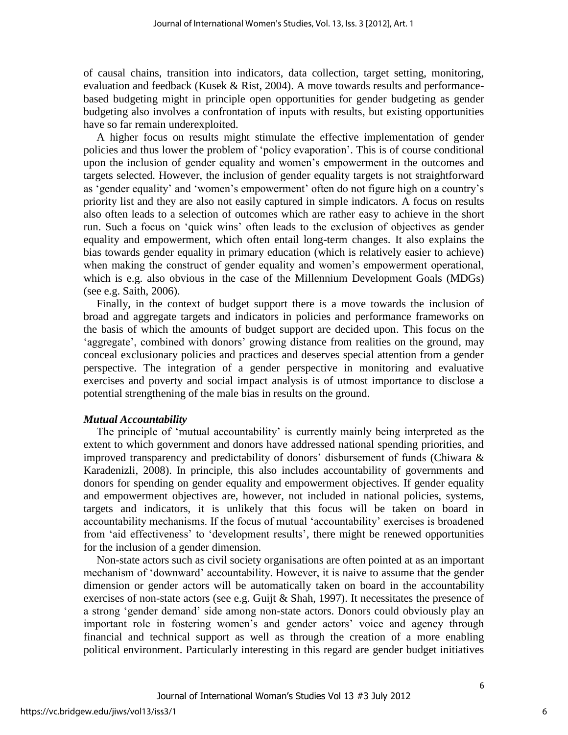of causal chains, transition into indicators, data collection, target setting, monitoring, evaluation and feedback (Kusek & Rist, 2004). A move towards results and performancebased budgeting might in principle open opportunities for gender budgeting as gender budgeting also involves a confrontation of inputs with results, but existing opportunities have so far remain underexploited.

A higher focus on results might stimulate the effective implementation of gender policies and thus lower the problem of "policy evaporation". This is of course conditional upon the inclusion of gender equality and women"s empowerment in the outcomes and targets selected. However, the inclusion of gender equality targets is not straightforward as 'gender equality' and 'women's empowerment' often do not figure high on a country's priority list and they are also not easily captured in simple indicators. A focus on results also often leads to a selection of outcomes which are rather easy to achieve in the short run. Such a focus on "quick wins" often leads to the exclusion of objectives as gender equality and empowerment, which often entail long-term changes. It also explains the bias towards gender equality in primary education (which is relatively easier to achieve) when making the construct of gender equality and women's empowerment operational, which is e.g. also obvious in the case of the Millennium Development Goals (MDGs) (see e.g. Saith, 2006).

Finally, in the context of budget support there is a move towards the inclusion of broad and aggregate targets and indicators in policies and performance frameworks on the basis of which the amounts of budget support are decided upon. This focus on the 'aggregate', combined with donors' growing distance from realities on the ground, may conceal exclusionary policies and practices and deserves special attention from a gender perspective. The integration of a gender perspective in monitoring and evaluative exercises and poverty and social impact analysis is of utmost importance to disclose a potential strengthening of the male bias in results on the ground.

# *Mutual Accountability*

The principle of 'mutual accountability' is currently mainly being interpreted as the extent to which government and donors have addressed national spending priorities, and improved transparency and predictability of donors' disbursement of funds (Chiwara  $\&$ Karadenizli, 2008). In principle, this also includes accountability of governments and donors for spending on gender equality and empowerment objectives. If gender equality and empowerment objectives are, however, not included in national policies, systems, targets and indicators, it is unlikely that this focus will be taken on board in accountability mechanisms. If the focus of mutual "accountability" exercises is broadened from 'aid effectiveness' to 'development results', there might be renewed opportunities for the inclusion of a gender dimension.

Non-state actors such as civil society organisations are often pointed at as an important mechanism of "downward" accountability. However, it is naive to assume that the gender dimension or gender actors will be automatically taken on board in the accountability exercises of non-state actors (see e.g. Guijt & Shah, 1997). It necessitates the presence of a strong "gender demand" side among non-state actors. Donors could obviously play an important role in fostering women's and gender actors' voice and agency through financial and technical support as well as through the creation of a more enabling political environment. Particularly interesting in this regard are gender budget initiatives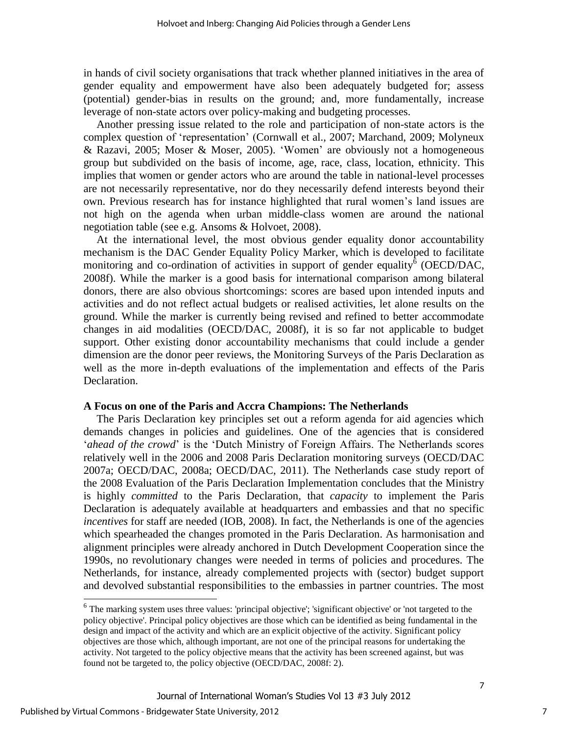in hands of civil society organisations that track whether planned initiatives in the area of gender equality and empowerment have also been adequately budgeted for; assess (potential) gender-bias in results on the ground; and, more fundamentally, increase leverage of non-state actors over policy-making and budgeting processes.

Another pressing issue related to the role and participation of non-state actors is the complex question of "representation" (Cornwall et al., 2007; Marchand, 2009; Molyneux & Razavi, 2005; Moser & Moser, 2005). "Women" are obviously not a homogeneous group but subdivided on the basis of income, age, race, class, location, ethnicity. This implies that women or gender actors who are around the table in national-level processes are not necessarily representative, nor do they necessarily defend interests beyond their own. Previous research has for instance highlighted that rural women"s land issues are not high on the agenda when urban middle-class women are around the national negotiation table (see e.g. Ansoms & Holvoet, 2008).

At the international level, the most obvious gender equality donor accountability mechanism is the DAC Gender Equality Policy Marker, which is developed to facilitate monitoring and co-ordination of activities in support of gender equality<sup> $\delta$ </sup> (OECD/DAC, 2008f). While the marker is a good basis for international comparison among bilateral donors, there are also obvious shortcomings: scores are based upon intended inputs and activities and do not reflect actual budgets or realised activities, let alone results on the ground. While the marker is currently being revised and refined to better accommodate changes in aid modalities (OECD/DAC, 2008f), it is so far not applicable to budget support. Other existing donor accountability mechanisms that could include a gender dimension are the donor peer reviews, the Monitoring Surveys of the Paris Declaration as well as the more in-depth evaluations of the implementation and effects of the Paris Declaration.

#### **A Focus on one of the Paris and Accra Champions: The Netherlands**

The Paris Declaration key principles set out a reform agenda for aid agencies which demands changes in policies and guidelines. One of the agencies that is considered *'ahead of the crowd'* is the 'Dutch Ministry of Foreign Affairs. The Netherlands scores relatively well in the 2006 and 2008 Paris Declaration monitoring surveys (OECD/DAC 2007a; OECD/DAC, 2008a; OECD/DAC, 2011). The Netherlands case study report of the 2008 Evaluation of the Paris Declaration Implementation concludes that the Ministry is highly *committed* to the Paris Declaration, that *capacity* to implement the Paris Declaration is adequately available at headquarters and embassies and that no specific *incentives* for staff are needed (IOB, 2008). In fact, the Netherlands is one of the agencies which spearheaded the changes promoted in the Paris Declaration. As harmonisation and alignment principles were already anchored in Dutch Development Cooperation since the 1990s, no revolutionary changes were needed in terms of policies and procedures. The Netherlands, for instance, already complemented projects with (sector) budget support and devolved substantial responsibilities to the embassies in partner countries. The most

j

<sup>&</sup>lt;sup>6</sup> The marking system uses three values: 'principal objective'; 'significant objective' or 'not targeted to the policy objective'. Principal policy objectives are those which can be identified as being fundamental in the design and impact of the activity and which are an explicit objective of the activity. Significant policy objectives are those which, although important, are not one of the principal reasons for undertaking the activity. Not targeted to the policy objective means that the activity has been screened against, but was found not be targeted to, the policy objective (OECD/DAC, 2008f: 2).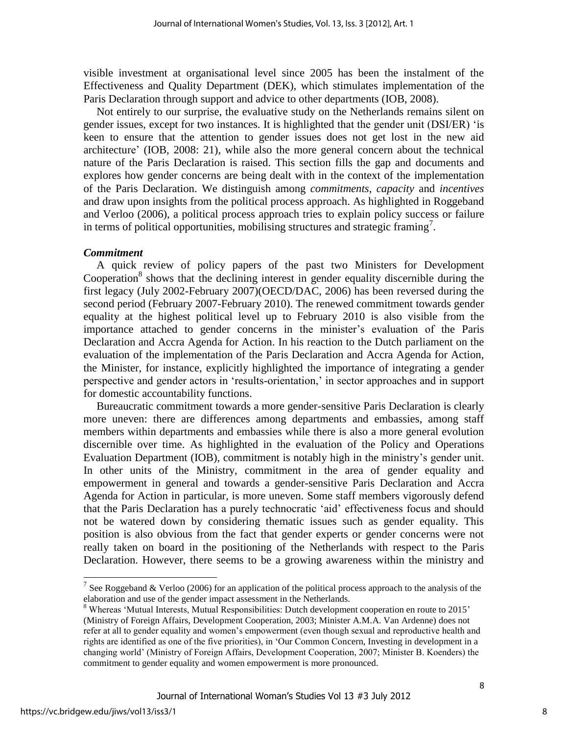visible investment at organisational level since 2005 has been the instalment of the Effectiveness and Quality Department (DEK), which stimulates implementation of the Paris Declaration through support and advice to other departments (IOB, 2008).

Not entirely to our surprise, the evaluative study on the Netherlands remains silent on gender issues, except for two instances. It is highlighted that the gender unit (DSI/ER) "is keen to ensure that the attention to gender issues does not get lost in the new aid architecture" (IOB, 2008: 21), while also the more general concern about the technical nature of the Paris Declaration is raised. This section fills the gap and documents and explores how gender concerns are being dealt with in the context of the implementation of the Paris Declaration. We distinguish among *commitments*, *capacity* and *incentives* and draw upon insights from the political process approach. As highlighted in Roggeband and Verloo (2006), a political process approach tries to explain policy success or failure in terms of political opportunities, mobilising structures and strategic framing<sup>7</sup> .

#### *Commitment*

A quick review of policy papers of the past two Ministers for Development Cooperation $8$  shows that the declining interest in gender equality discernible during the first legacy (July 2002-February 2007)(OECD/DAC, 2006) has been reversed during the second period (February 2007-February 2010). The renewed commitment towards gender equality at the highest political level up to February 2010 is also visible from the importance attached to gender concerns in the minister"s evaluation of the Paris Declaration and Accra Agenda for Action. In his reaction to the Dutch parliament on the evaluation of the implementation of the Paris Declaration and Accra Agenda for Action, the Minister, for instance, explicitly highlighted the importance of integrating a gender perspective and gender actors in "results-orientation," in sector approaches and in support for domestic accountability functions.

Bureaucratic commitment towards a more gender-sensitive Paris Declaration is clearly more uneven: there are differences among departments and embassies, among staff members within departments and embassies while there is also a more general evolution discernible over time. As highlighted in the evaluation of the Policy and Operations Evaluation Department (IOB), commitment is notably high in the ministry"s gender unit. In other units of the Ministry, commitment in the area of gender equality and empowerment in general and towards a gender-sensitive Paris Declaration and Accra Agenda for Action in particular, is more uneven. Some staff members vigorously defend that the Paris Declaration has a purely technocratic "aid" effectiveness focus and should not be watered down by considering thematic issues such as gender equality. This position is also obvious from the fact that gender experts or gender concerns were not really taken on board in the positioning of the Netherlands with respect to the Paris Declaration. However, there seems to be a growing awareness within the ministry and

l

<sup>&</sup>lt;sup>7</sup> See Roggeband & Verloo (2006) for an application of the political process approach to the analysis of the elaboration and use of the gender impact assessment in the Netherlands.

<sup>&</sup>lt;sup>8</sup> Whereas 'Mutual Interests, Mutual Responsibilities: Dutch development cooperation en route to 2015' (Ministry of Foreign Affairs, Development Cooperation, 2003; Minister A.M.A. Van Ardenne) does not refer at all to gender equality and women"s empowerment (even though sexual and reproductive health and rights are identified as one of the five priorities), in "Our Common Concern, Investing in development in a changing world" (Ministry of Foreign Affairs, Development Cooperation, 2007; Minister B. Koenders) the commitment to gender equality and women empowerment is more pronounced.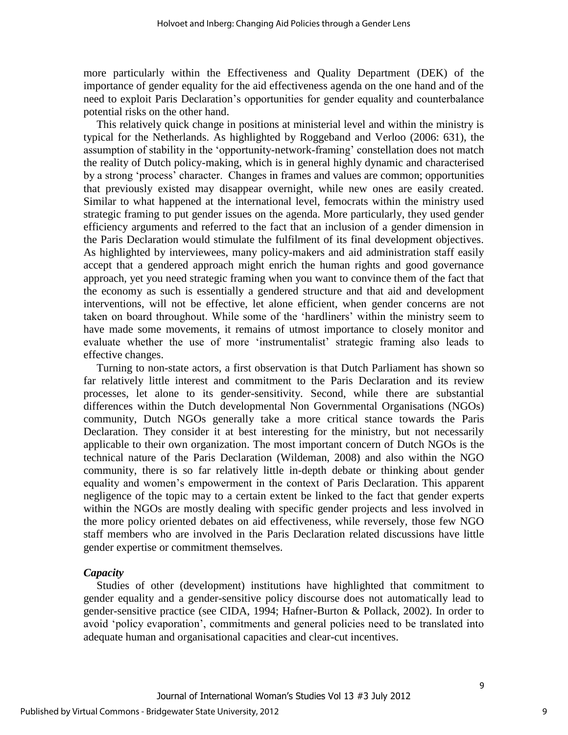more particularly within the Effectiveness and Quality Department (DEK) of the importance of gender equality for the aid effectiveness agenda on the one hand and of the need to exploit Paris Declaration"s opportunities for gender equality and counterbalance potential risks on the other hand.

This relatively quick change in positions at ministerial level and within the ministry is typical for the Netherlands. As highlighted by Roggeband and Verloo (2006: 631), the assumption of stability in the "opportunity-network-framing" constellation does not match the reality of Dutch policy-making, which is in general highly dynamic and characterised by a strong "process" character. Changes in frames and values are common; opportunities that previously existed may disappear overnight, while new ones are easily created. Similar to what happened at the international level, femocrats within the ministry used strategic framing to put gender issues on the agenda. More particularly, they used gender efficiency arguments and referred to the fact that an inclusion of a gender dimension in the Paris Declaration would stimulate the fulfilment of its final development objectives. As highlighted by interviewees, many policy-makers and aid administration staff easily accept that a gendered approach might enrich the human rights and good governance approach, yet you need strategic framing when you want to convince them of the fact that the economy as such is essentially a gendered structure and that aid and development interventions, will not be effective, let alone efficient, when gender concerns are not taken on board throughout. While some of the "hardliners" within the ministry seem to have made some movements, it remains of utmost importance to closely monitor and evaluate whether the use of more "instrumentalist" strategic framing also leads to effective changes.

Turning to non-state actors, a first observation is that Dutch Parliament has shown so far relatively little interest and commitment to the Paris Declaration and its review processes, let alone to its gender-sensitivity. Second, while there are substantial differences within the Dutch developmental Non Governmental Organisations (NGOs) community, Dutch NGOs generally take a more critical stance towards the Paris Declaration. They consider it at best interesting for the ministry, but not necessarily applicable to their own organization. The most important concern of Dutch NGOs is the technical nature of the Paris Declaration (Wildeman, 2008) and also within the NGO community, there is so far relatively little in-depth debate or thinking about gender equality and women"s empowerment in the context of Paris Declaration. This apparent negligence of the topic may to a certain extent be linked to the fact that gender experts within the NGOs are mostly dealing with specific gender projects and less involved in the more policy oriented debates on aid effectiveness, while reversely, those few NGO staff members who are involved in the Paris Declaration related discussions have little gender expertise or commitment themselves.

# *Capacity*

Studies of other (development) institutions have highlighted that commitment to gender equality and a gender-sensitive policy discourse does not automatically lead to gender-sensitive practice (see CIDA, 1994; Hafner-Burton & Pollack, 2002). In order to avoid "policy evaporation", commitments and general policies need to be translated into adequate human and organisational capacities and clear-cut incentives.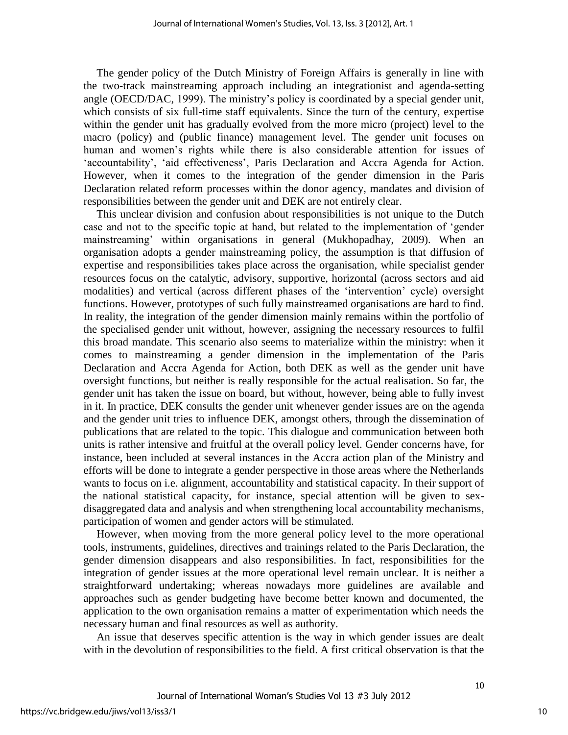The gender policy of the Dutch Ministry of Foreign Affairs is generally in line with the two-track mainstreaming approach including an integrationist and agenda-setting angle (OECD/DAC, 1999). The ministry's policy is coordinated by a special gender unit, which consists of six full-time staff equivalents. Since the turn of the century, expertise within the gender unit has gradually evolved from the more micro (project) level to the macro (policy) and (public finance) management level. The gender unit focuses on human and women's rights while there is also considerable attention for issues of 'accountability', 'aid effectiveness', Paris Declaration and Accra Agenda for Action. However, when it comes to the integration of the gender dimension in the Paris Declaration related reform processes within the donor agency, mandates and division of responsibilities between the gender unit and DEK are not entirely clear.

This unclear division and confusion about responsibilities is not unique to the Dutch case and not to the specific topic at hand, but related to the implementation of "gender mainstreaming" within organisations in general (Mukhopadhay, 2009). When an organisation adopts a gender mainstreaming policy, the assumption is that diffusion of expertise and responsibilities takes place across the organisation, while specialist gender resources focus on the catalytic, advisory, supportive, horizontal (across sectors and aid modalities) and vertical (across different phases of the "intervention" cycle) oversight functions. However, prototypes of such fully mainstreamed organisations are hard to find. In reality, the integration of the gender dimension mainly remains within the portfolio of the specialised gender unit without, however, assigning the necessary resources to fulfil this broad mandate. This scenario also seems to materialize within the ministry: when it comes to mainstreaming a gender dimension in the implementation of the Paris Declaration and Accra Agenda for Action, both DEK as well as the gender unit have oversight functions, but neither is really responsible for the actual realisation. So far, the gender unit has taken the issue on board, but without, however, being able to fully invest in it. In practice, DEK consults the gender unit whenever gender issues are on the agenda and the gender unit tries to influence DEK, amongst others, through the dissemination of publications that are related to the topic. This dialogue and communication between both units is rather intensive and fruitful at the overall policy level. Gender concerns have, for instance, been included at several instances in the Accra action plan of the Ministry and efforts will be done to integrate a gender perspective in those areas where the Netherlands wants to focus on i.e. alignment, accountability and statistical capacity. In their support of the national statistical capacity, for instance, special attention will be given to sexdisaggregated data and analysis and when strengthening local accountability mechanisms, participation of women and gender actors will be stimulated.

However, when moving from the more general policy level to the more operational tools, instruments, guidelines, directives and trainings related to the Paris Declaration, the gender dimension disappears and also responsibilities. In fact, responsibilities for the integration of gender issues at the more operational level remain unclear. It is neither a straightforward undertaking; whereas nowadays more guidelines are available and approaches such as gender budgeting have become better known and documented, the application to the own organisation remains a matter of experimentation which needs the necessary human and final resources as well as authority.

An issue that deserves specific attention is the way in which gender issues are dealt with in the devolution of responsibilities to the field. A first critical observation is that the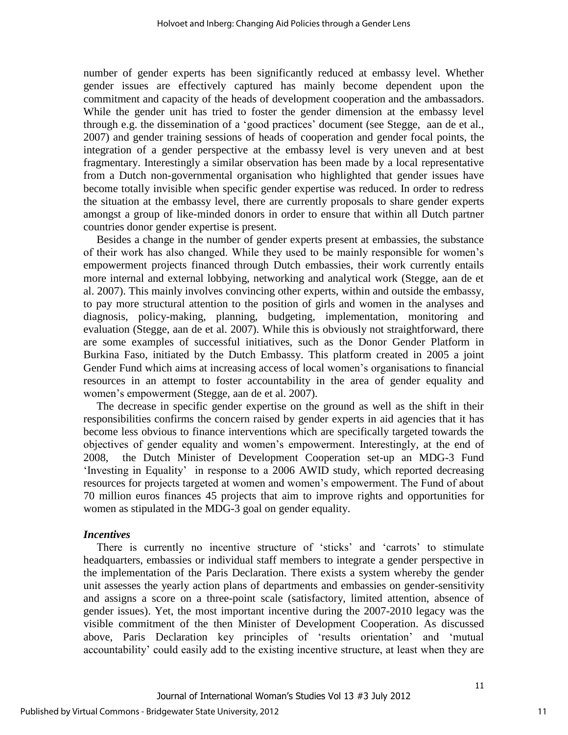number of gender experts has been significantly reduced at embassy level. Whether gender issues are effectively captured has mainly become dependent upon the commitment and capacity of the heads of development cooperation and the ambassadors. While the gender unit has tried to foster the gender dimension at the embassy level through e.g. the dissemination of a "good practices" document (see Stegge, aan de et al., 2007) and gender training sessions of heads of cooperation and gender focal points, the integration of a gender perspective at the embassy level is very uneven and at best fragmentary. Interestingly a similar observation has been made by a local representative from a Dutch non-governmental organisation who highlighted that gender issues have become totally invisible when specific gender expertise was reduced. In order to redress the situation at the embassy level, there are currently proposals to share gender experts amongst a group of like-minded donors in order to ensure that within all Dutch partner countries donor gender expertise is present.

Besides a change in the number of gender experts present at embassies, the substance of their work has also changed. While they used to be mainly responsible for women"s empowerment projects financed through Dutch embassies, their work currently entails more internal and external lobbying, networking and analytical work (Stegge, aan de et al. 2007). This mainly involves convincing other experts, within and outside the embassy, to pay more structural attention to the position of girls and women in the analyses and diagnosis, policy-making, planning, budgeting, implementation, monitoring and evaluation (Stegge, aan de et al. 2007). While this is obviously not straightforward, there are some examples of successful initiatives, such as the Donor Gender Platform in Burkina Faso, initiated by the Dutch Embassy. This platform created in 2005 a joint Gender Fund which aims at increasing access of local women"s organisations to financial resources in an attempt to foster accountability in the area of gender equality and women"s empowerment (Stegge, aan de et al. 2007).

The decrease in specific gender expertise on the ground as well as the shift in their responsibilities confirms the concern raised by gender experts in aid agencies that it has become less obvious to finance interventions which are specifically targeted towards the objectives of gender equality and women"s empowerment. Interestingly, at the end of 2008, the Dutch Minister of Development Cooperation set-up an MDG-3 Fund "Investing in Equality" in response to a 2006 AWID study, which reported decreasing resources for projects targeted at women and women"s empowerment. The Fund of about 70 million euros finances 45 projects that aim to improve rights and opportunities for women as stipulated in the MDG-3 goal on gender equality.

# *Incentives*

There is currently no incentive structure of 'sticks' and 'carrots' to stimulate headquarters, embassies or individual staff members to integrate a gender perspective in the implementation of the Paris Declaration. There exists a system whereby the gender unit assesses the yearly action plans of departments and embassies on gender-sensitivity and assigns a score on a three-point scale (satisfactory, limited attention, absence of gender issues). Yet, the most important incentive during the 2007-2010 legacy was the visible commitment of the then Minister of Development Cooperation. As discussed above, Paris Declaration key principles of "results orientation" and "mutual accountability' could easily add to the existing incentive structure, at least when they are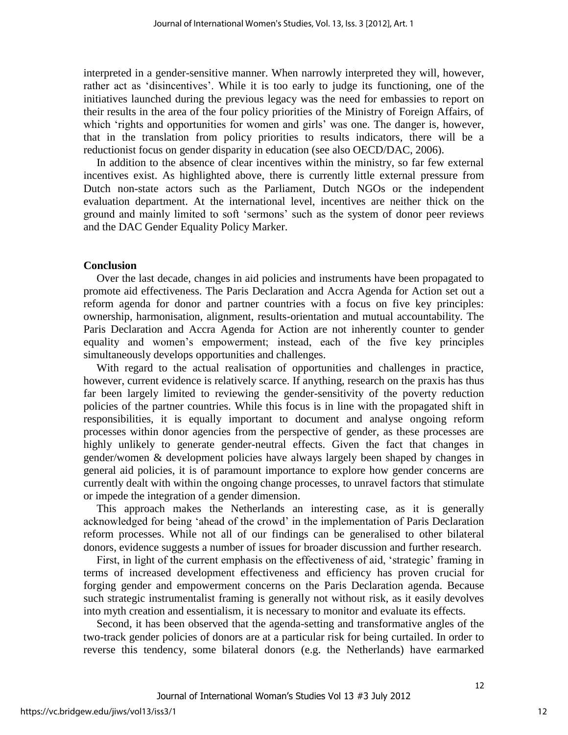interpreted in a gender-sensitive manner. When narrowly interpreted they will, however, rather act as 'disincentives'. While it is too early to judge its functioning, one of the initiatives launched during the previous legacy was the need for embassies to report on their results in the area of the four policy priorities of the Ministry of Foreign Affairs, of which 'rights and opportunities for women and girls' was one. The danger is, however, that in the translation from policy priorities to results indicators, there will be a reductionist focus on gender disparity in education (see also OECD/DAC, 2006).

In addition to the absence of clear incentives within the ministry, so far few external incentives exist. As highlighted above, there is currently little external pressure from Dutch non-state actors such as the Parliament, Dutch NGOs or the independent evaluation department. At the international level, incentives are neither thick on the ground and mainly limited to soft "sermons" such as the system of donor peer reviews and the DAC Gender Equality Policy Marker.

# **Conclusion**

Over the last decade, changes in aid policies and instruments have been propagated to promote aid effectiveness. The Paris Declaration and Accra Agenda for Action set out a reform agenda for donor and partner countries with a focus on five key principles: ownership, harmonisation, alignment, results-orientation and mutual accountability. The Paris Declaration and Accra Agenda for Action are not inherently counter to gender equality and women"s empowerment; instead, each of the five key principles simultaneously develops opportunities and challenges.

With regard to the actual realisation of opportunities and challenges in practice, however, current evidence is relatively scarce. If anything, research on the praxis has thus far been largely limited to reviewing the gender-sensitivity of the poverty reduction policies of the partner countries. While this focus is in line with the propagated shift in responsibilities, it is equally important to document and analyse ongoing reform processes within donor agencies from the perspective of gender, as these processes are highly unlikely to generate gender-neutral effects. Given the fact that changes in gender/women & development policies have always largely been shaped by changes in general aid policies, it is of paramount importance to explore how gender concerns are currently dealt with within the ongoing change processes, to unravel factors that stimulate or impede the integration of a gender dimension.

This approach makes the Netherlands an interesting case, as it is generally acknowledged for being "ahead of the crowd" in the implementation of Paris Declaration reform processes. While not all of our findings can be generalised to other bilateral donors, evidence suggests a number of issues for broader discussion and further research.

First, in light of the current emphasis on the effectiveness of aid, 'strategic' framing in terms of increased development effectiveness and efficiency has proven crucial for forging gender and empowerment concerns on the Paris Declaration agenda. Because such strategic instrumentalist framing is generally not without risk, as it easily devolves into myth creation and essentialism, it is necessary to monitor and evaluate its effects.

Second, it has been observed that the agenda-setting and transformative angles of the two-track gender policies of donors are at a particular risk for being curtailed. In order to reverse this tendency, some bilateral donors (e.g. the Netherlands) have earmarked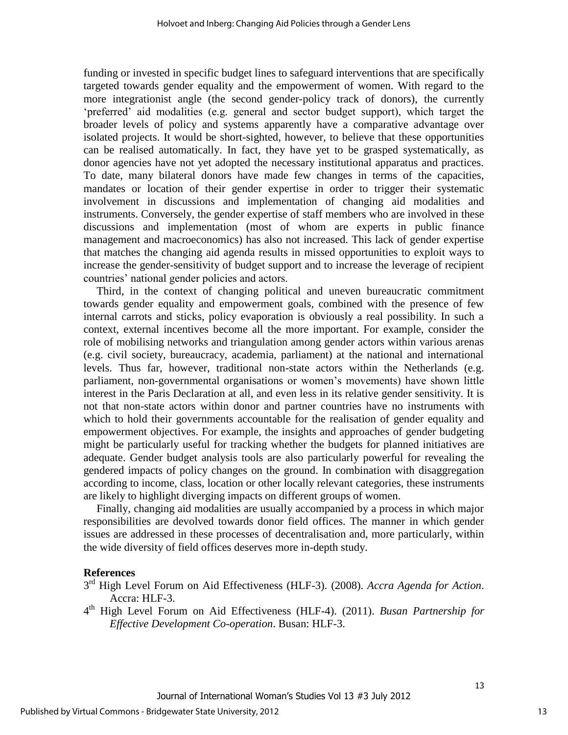funding or invested in specific budget lines to safeguard interventions that are specifically targeted towards gender equality and the empowerment of women. With regard to the more integrationist angle (the second gender-policy track of donors), the currently "preferred" aid modalities (e.g. general and sector budget support), which target the broader levels of policy and systems apparently have a comparative advantage over isolated projects. It would be short-sighted, however, to believe that these opportunities can be realised automatically. In fact, they have yet to be grasped systematically, as donor agencies have not yet adopted the necessary institutional apparatus and practices. To date, many bilateral donors have made few changes in terms of the capacities, mandates or location of their gender expertise in order to trigger their systematic involvement in discussions and implementation of changing aid modalities and instruments. Conversely, the gender expertise of staff members who are involved in these discussions and implementation (most of whom are experts in public finance management and macroeconomics) has also not increased. This lack of gender expertise that matches the changing aid agenda results in missed opportunities to exploit ways to increase the gender-sensitivity of budget support and to increase the leverage of recipient countries" national gender policies and actors.

Third, in the context of changing political and uneven bureaucratic commitment towards gender equality and empowerment goals, combined with the presence of few internal carrots and sticks, policy evaporation is obviously a real possibility. In such a context, external incentives become all the more important. For example, consider the role of mobilising networks and triangulation among gender actors within various arenas (e.g. civil society, bureaucracy, academia, parliament) at the national and international levels. Thus far, however, traditional non-state actors within the Netherlands (e.g. parliament, non-governmental organisations or women"s movements) have shown little interest in the Paris Declaration at all, and even less in its relative gender sensitivity. It is not that non-state actors within donor and partner countries have no instruments with which to hold their governments accountable for the realisation of gender equality and empowerment objectives. For example, the insights and approaches of gender budgeting might be particularly useful for tracking whether the budgets for planned initiatives are adequate. Gender budget analysis tools are also particularly powerful for revealing the gendered impacts of policy changes on the ground. In combination with disaggregation according to income, class, location or other locally relevant categories, these instruments are likely to highlight diverging impacts on different groups of women.

Finally, changing aid modalities are usually accompanied by a process in which major responsibilities are devolved towards donor field offices. The manner in which gender issues are addressed in these processes of decentralisation and, more particularly, within the wide diversity of field offices deserves more in-depth study.

# **References**

- 3 rd High Level Forum on Aid Effectiveness (HLF-3). (2008). *Accra Agenda for Action*. Accra: HLF-3.
- 4 th High Level Forum on Aid Effectiveness (HLF-4). (2011). *Busan Partnership for Effective Development Co-operation*. Busan: HLF-3.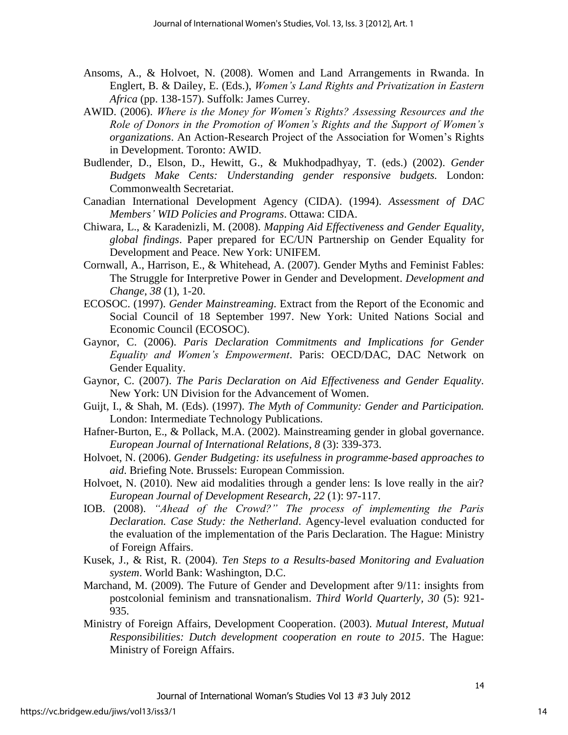- Ansoms, A., & Holvoet, N. (2008). Women and Land Arrangements in Rwanda. In Englert, B. & Dailey, E. (Eds.), *Women's Land Rights and Privatization in Eastern Africa* (pp. 138-157). Suffolk: James Currey.
- AWID. (2006). *Where is the Money for Women's Rights? Assessing Resources and the Role of Donors in the Promotion of Women's Rights and the Support of Women's organizations*. An Action-Research Project of the Association for Women"s Rights in Development. Toronto: AWID.
- Budlender, D., Elson, D., Hewitt, G., & Mukhodpadhyay, T. (eds.) (2002). *Gender Budgets Make Cents: Understanding gender responsive budgets.* London: Commonwealth Secretariat.
- Canadian International Development Agency (CIDA). (1994). *Assessment of DAC Members' WID Policies and Programs*. Ottawa: CIDA.
- Chiwara, L., & Karadenizli, M. (2008). *Mapping Aid Effectiveness and Gender Equality, global findings*. Paper prepared for EC/UN Partnership on Gender Equality for Development and Peace. New York: UNIFEM.
- Cornwall, A., Harrison, E., & Whitehead, A. (2007). Gender Myths and Feminist Fables: The Struggle for Interpretive Power in Gender and Development. *Development and Change*, *38* (1), 1-20.
- ECOSOC. (1997). *Gender Mainstreaming*. Extract from the Report of the Economic and Social Council of 18 September 1997. New York: United Nations Social and Economic Council (ECOSOC).
- Gaynor, C. (2006). *Paris Declaration Commitments and Implications for Gender Equality and Women's Empowerment*. Paris: OECD/DAC, DAC Network on Gender Equality.
- Gaynor, C. (2007). *The Paris Declaration on Aid Effectiveness and Gender Equality.* New York: UN Division for the Advancement of Women.
- Guijt, I., & Shah, M. (Eds). (1997). *The Myth of Community: Gender and Participation.* London: Intermediate Technology Publications.
- Hafner-Burton, E., & Pollack, M.A. (2002). Mainstreaming gender in global governance. *European Journal of International Relations, 8* (3): 339-373.
- Holvoet, N. (2006). *Gender Budgeting: its usefulness in programme-based approaches to aid*. Briefing Note. Brussels: European Commission.
- Holvoet, N. (2010). New aid modalities through a gender lens: Is love really in the air? *European Journal of Development Research, 22* (1): 97-117.
- IOB. (2008). *"Ahead of the Crowd?" The process of implementing the Paris Declaration. Case Study: the Netherland*. Agency-level evaluation conducted for the evaluation of the implementation of the Paris Declaration. The Hague: Ministry of Foreign Affairs.
- Kusek, J., & Rist, R. (2004). *Ten Steps to a Results-based Monitoring and Evaluation system*. World Bank: Washington, D.C.
- Marchand, M. (2009). The Future of Gender and Development after 9/11: insights from postcolonial feminism and transnationalism. *Third World Quarterly, 30* (5): 921- 935.
- Ministry of Foreign Affairs, Development Cooperation. (2003). *Mutual Interest, Mutual Responsibilities: Dutch development cooperation en route to 2015*. The Hague: Ministry of Foreign Affairs.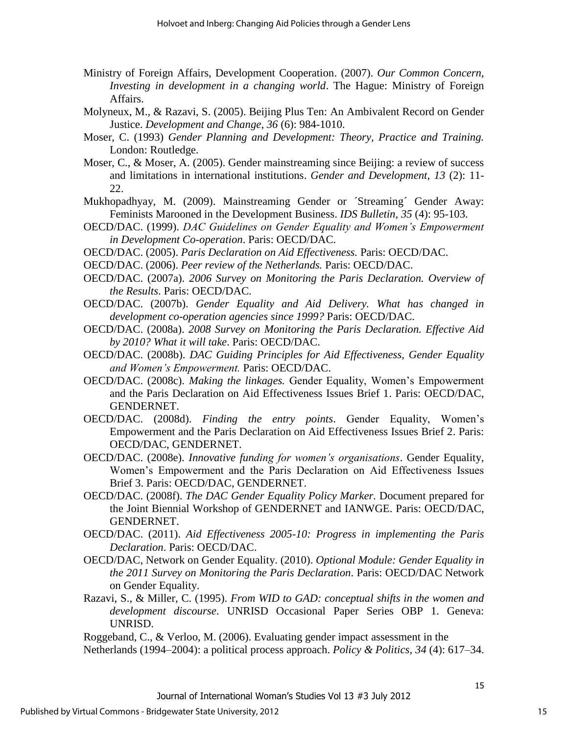- Ministry of Foreign Affairs, Development Cooperation. (2007). *Our Common Concern, Investing in development in a changing world*. The Hague: Ministry of Foreign Affairs.
- Molyneux, M., & Razavi, S. (2005). Beijing Plus Ten: An Ambivalent Record on Gender Justice. *Development and Change, 36* (6): 984-1010.
- Moser, C. (1993) *Gender Planning and Development: Theory, Practice and Training.* London: Routledge.
- Moser, C., & Moser, A. (2005). Gender mainstreaming since Beijing: a review of success and limitations in international institutions. *Gender and Development, 13* (2): 11- 22.
- Mukhopadhyay, M. (2009). Mainstreaming Gender or ´Streaming´ Gender Away: Feminists Marooned in the Development Business. *IDS Bulletin, 35* (4): 95-103.
- OECD/DAC. (1999). *DAC Guidelines on Gender Equality and Women's Empowerment in Development Co-operation*. Paris: OECD/DAC.
- OECD/DAC. (2005). *Paris Declaration on Aid Effectiveness.* Paris: OECD/DAC.
- OECD/DAC. (2006). *Peer review of the Netherlands.* Paris: OECD/DAC.
- OECD/DAC. (2007a). *2006 Survey on Monitoring the Paris Declaration. Overview of the Results*. Paris: OECD/DAC.
- OECD/DAC. (2007b). *Gender Equality and Aid Delivery. What has changed in development co-operation agencies since 1999?* Paris: OECD/DAC.
- OECD/DAC. (2008a). *2008 Survey on Monitoring the Paris Declaration. Effective Aid by 2010? What it will take*. Paris: OECD/DAC.
- OECD/DAC. (2008b). *DAC Guiding Principles for Aid Effectiveness, Gender Equality and Women's Empowerment.* Paris: OECD/DAC.
- OECD/DAC. (2008c). *Making the linkages.* Gender Equality, Women"s Empowerment and the Paris Declaration on Aid Effectiveness Issues Brief 1. Paris: OECD/DAC, GENDERNET.
- OECD/DAC. (2008d). *Finding the entry points*. Gender Equality, Women"s Empowerment and the Paris Declaration on Aid Effectiveness Issues Brief 2. Paris: OECD/DAC, GENDERNET.
- OECD/DAC. (2008e). *Innovative funding for women's organisations*. Gender Equality, Women"s Empowerment and the Paris Declaration on Aid Effectiveness Issues Brief 3. Paris: OECD/DAC, GENDERNET.
- OECD/DAC. (2008f). *The DAC Gender Equality Policy Marker.* Document prepared for the Joint Biennial Workshop of GENDERNET and IANWGE. Paris: OECD/DAC, GENDERNET.
- OECD/DAC. (2011). *Aid Effectiveness 2005-10: Progress in implementing the Paris Declaration*. Paris: OECD/DAC.
- OECD/DAC, Network on Gender Equality. (2010). *Optional Module: Gender Equality in the 2011 Survey on Monitoring the Paris Declaration*. Paris: OECD/DAC Network on Gender Equality.
- Razavi, S., & Miller, C. (1995). *From WID to GAD: conceptual shifts in the women and development discourse*. UNRISD Occasional Paper Series OBP 1. Geneva: UNRISD.

Roggeband, C., & Verloo, M. (2006). Evaluating gender impact assessment in the

Netherlands (1994–2004): a political process approach. *Policy & Politics, 34* (4): 617–34.